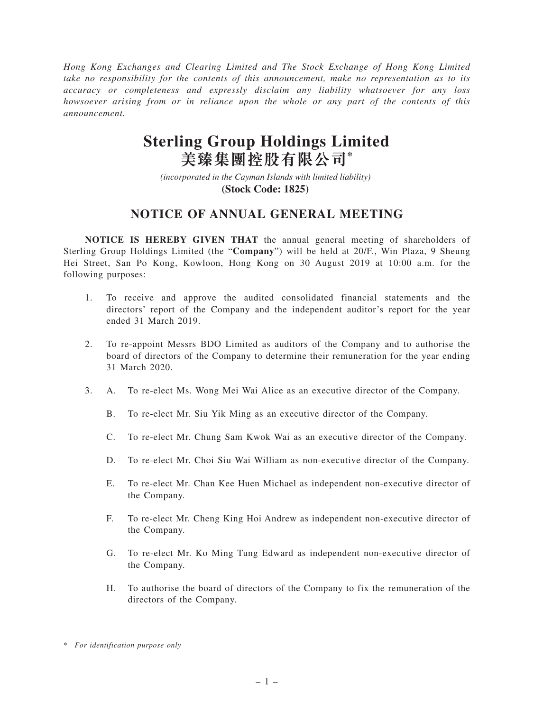*Hong Kong Exchanges and Clearing Limited and The Stock Exchange of Hong Kong Limited take no responsibility for the contents of this announcement, make no representation as to its accuracy or completeness and expressly disclaim any liability whatsoever for any loss howsoever arising from or in reliance upon the whole or any part of the contents of this announcement.*

## **Sterling Group Holdings Limited 美臻集團控股有限公司\***

*(incorporated in the Cayman Islands with limited liability)*  **(Stock Code: 1825)** 

## **NOTICE OF ANNUAL GENERAL MEETING**

**NOTICE IS HEREBY GIVEN THAT** the annual general meeting of shareholders of Sterling Group Holdings Limited (the "**Company**") will be held at 20/F., Win Plaza, 9 Sheung Hei Street, San Po Kong, Kowloon, Hong Kong on 30 August 2019 at 10:00 a.m. for the following purposes:

- 1. To receive and approve the audited consolidated financial statements and the directors' report of the Company and the independent auditor's report for the year ended 31 March 2019.
- 2. To re-appoint Messrs BDO Limited as auditors of the Company and to authorise the board of directors of the Company to determine their remuneration for the year ending 31 March 2020.
- 3. A. To re-elect Ms. Wong Mei Wai Alice as an executive director of the Company.
	- B. To re-elect Mr. Siu Yik Ming as an executive director of the Company.
	- C. To re-elect Mr. Chung Sam Kwok Wai as an executive director of the Company.
	- D. To re-elect Mr. Choi Siu Wai William as non-executive director of the Company.
	- E. To re-elect Mr. Chan Kee Huen Michael as independent non-executive director of the Company.
	- F. To re-elect Mr. Cheng King Hoi Andrew as independent non-executive director of the Company.
	- G. To re-elect Mr. Ko Ming Tung Edward as independent non-executive director of the Company.
	- H. To authorise the board of directors of the Company to fix the remuneration of the directors of the Company.

<sup>\*</sup> *For identification purpose only*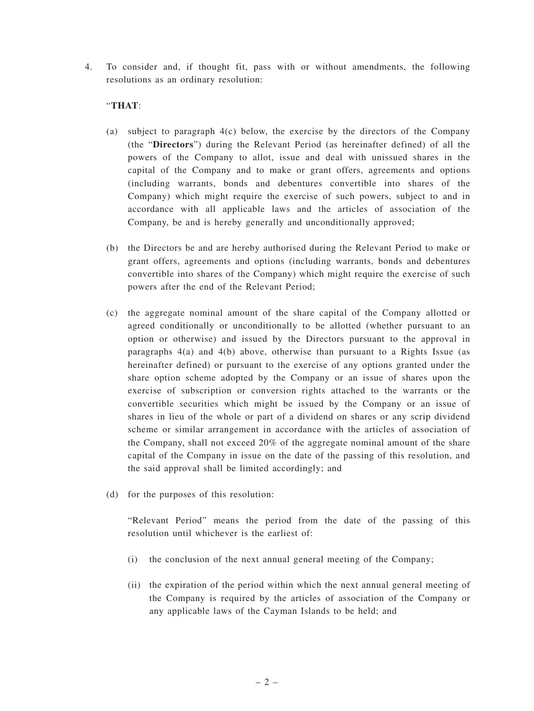4. To consider and, if thought fit, pass with or without amendments, the following resolutions as an ordinary resolution:

## "**THAT**:

- (a) subject to paragraph 4(c) below, the exercise by the directors of the Company (the "**Directors**") during the Relevant Period (as hereinafter defined) of all the powers of the Company to allot, issue and deal with unissued shares in the capital of the Company and to make or grant offers, agreements and options (including warrants, bonds and debentures convertible into shares of the Company) which might require the exercise of such powers, subject to and in accordance with all applicable laws and the articles of association of the Company, be and is hereby generally and unconditionally approved;
- (b) the Directors be and are hereby authorised during the Relevant Period to make or grant offers, agreements and options (including warrants, bonds and debentures convertible into shares of the Company) which might require the exercise of such powers after the end of the Relevant Period;
- (c) the aggregate nominal amount of the share capital of the Company allotted or agreed conditionally or unconditionally to be allotted (whether pursuant to an option or otherwise) and issued by the Directors pursuant to the approval in paragraphs  $4(a)$  and  $4(b)$  above, otherwise than pursuant to a Rights Issue (as hereinafter defined) or pursuant to the exercise of any options granted under the share option scheme adopted by the Company or an issue of shares upon the exercise of subscription or conversion rights attached to the warrants or the convertible securities which might be issued by the Company or an issue of shares in lieu of the whole or part of a dividend on shares or any scrip dividend scheme or similar arrangement in accordance with the articles of association of the Company, shall not exceed 20% of the aggregate nominal amount of the share capital of the Company in issue on the date of the passing of this resolution, and the said approval shall be limited accordingly; and
- (d) for the purposes of this resolution:

"Relevant Period" means the period from the date of the passing of this resolution until whichever is the earliest of:

- (i) the conclusion of the next annual general meeting of the Company;
- (ii) the expiration of the period within which the next annual general meeting of the Company is required by the articles of association of the Company or any applicable laws of the Cayman Islands to be held; and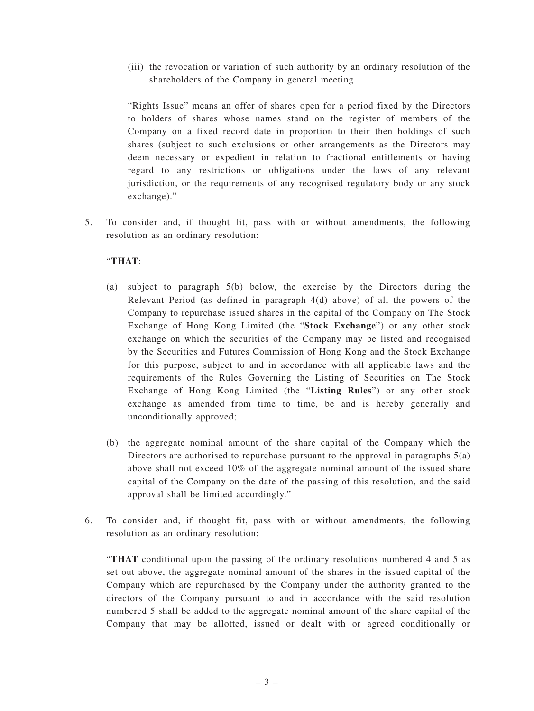(iii) the revocation or variation of such authority by an ordinary resolution of the shareholders of the Company in general meeting.

"Rights Issue" means an offer of shares open for a period fixed by the Directors to holders of shares whose names stand on the register of members of the Company on a fixed record date in proportion to their then holdings of such shares (subject to such exclusions or other arrangements as the Directors may deem necessary or expedient in relation to fractional entitlements or having regard to any restrictions or obligations under the laws of any relevant jurisdiction, or the requirements of any recognised regulatory body or any stock exchange)."

5. To consider and, if thought fit, pass with or without amendments, the following resolution as an ordinary resolution:

## "**THAT**:

- (a) subject to paragraph 5(b) below, the exercise by the Directors during the Relevant Period (as defined in paragraph 4(d) above) of all the powers of the Company to repurchase issued shares in the capital of the Company on The Stock Exchange of Hong Kong Limited (the "**Stock Exchange**") or any other stock exchange on which the securities of the Company may be listed and recognised by the Securities and Futures Commission of Hong Kong and the Stock Exchange for this purpose, subject to and in accordance with all applicable laws and the requirements of the Rules Governing the Listing of Securities on The Stock Exchange of Hong Kong Limited (the "**Listing Rules**") or any other stock exchange as amended from time to time, be and is hereby generally and unconditionally approved;
- (b) the aggregate nominal amount of the share capital of the Company which the Directors are authorised to repurchase pursuant to the approval in paragraphs  $5(a)$ above shall not exceed 10% of the aggregate nominal amount of the issued share capital of the Company on the date of the passing of this resolution, and the said approval shall be limited accordingly."
- 6. To consider and, if thought fit, pass with or without amendments, the following resolution as an ordinary resolution:

"**THAT** conditional upon the passing of the ordinary resolutions numbered 4 and 5 as set out above, the aggregate nominal amount of the shares in the issued capital of the Company which are repurchased by the Company under the authority granted to the directors of the Company pursuant to and in accordance with the said resolution numbered 5 shall be added to the aggregate nominal amount of the share capital of the Company that may be allotted, issued or dealt with or agreed conditionally or